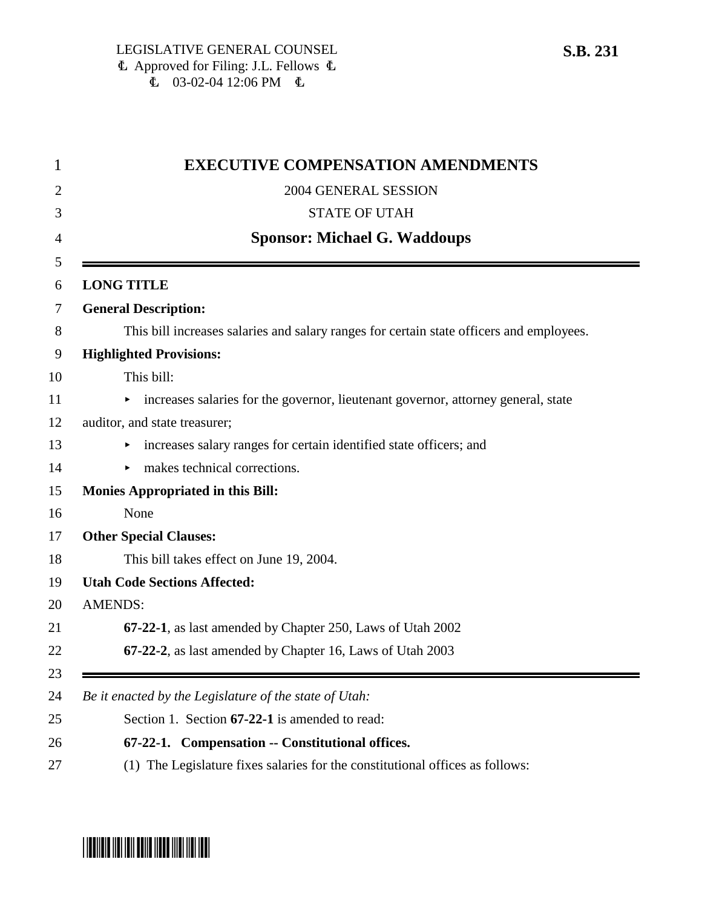| <b>EXECUTIVE COMPENSATION AMENDMENTS</b>                                                 |  |  |
|------------------------------------------------------------------------------------------|--|--|
| 2004 GENERAL SESSION                                                                     |  |  |
| <b>STATE OF UTAH</b>                                                                     |  |  |
| <b>Sponsor: Michael G. Waddoups</b>                                                      |  |  |
|                                                                                          |  |  |
| <b>LONG TITLE</b>                                                                        |  |  |
| <b>General Description:</b>                                                              |  |  |
| This bill increases salaries and salary ranges for certain state officers and employees. |  |  |
| <b>Highlighted Provisions:</b>                                                           |  |  |
| This bill:                                                                               |  |  |
| increases salaries for the governor, lieutenant governor, attorney general, state<br>►   |  |  |
| auditor, and state treasurer;                                                            |  |  |
| increases salary ranges for certain identified state officers; and                       |  |  |
| $\triangleright$ makes technical corrections.                                            |  |  |
| <b>Monies Appropriated in this Bill:</b>                                                 |  |  |
| None                                                                                     |  |  |
| <b>Other Special Clauses:</b>                                                            |  |  |
| This bill takes effect on June 19, 2004.                                                 |  |  |
| <b>Utah Code Sections Affected:</b>                                                      |  |  |
| <b>AMENDS:</b>                                                                           |  |  |
| 67-22-1, as last amended by Chapter 250, Laws of Utah 2002                               |  |  |
| 67-22-2, as last amended by Chapter 16, Laws of Utah 2003                                |  |  |
| Be it enacted by the Legislature of the state of Utah:                                   |  |  |
| Section 1. Section 67-22-1 is amended to read:                                           |  |  |
| 67-22-1. Compensation -- Constitutional offices.                                         |  |  |
|                                                                                          |  |  |

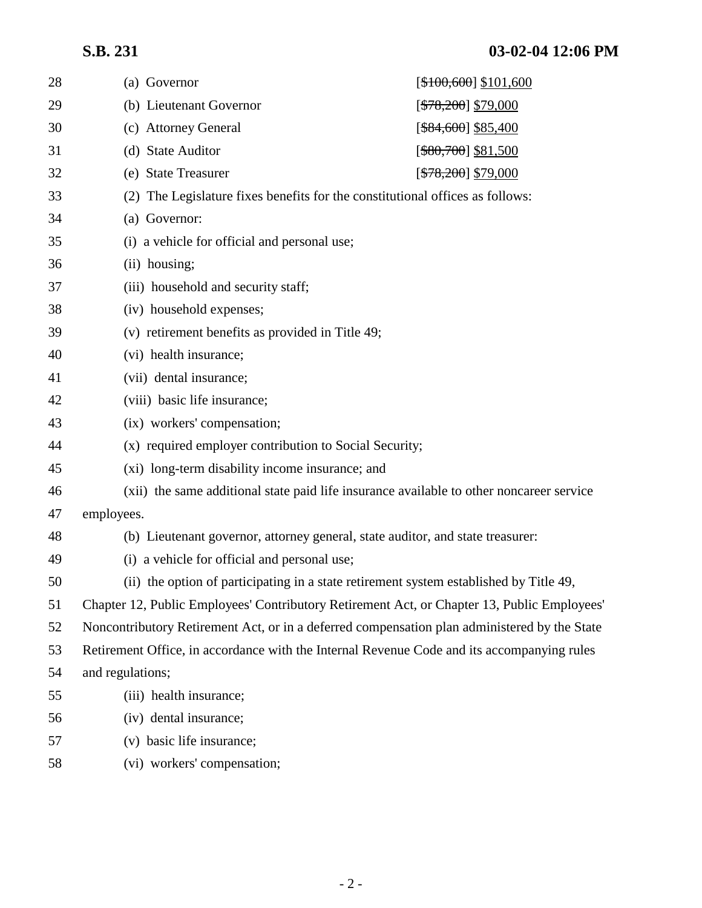# **S.B. 231 03-02-04 12:06 PM**

| 28 | (a) Governor                                                                                 | [ <del>\$100,600</del> ] \$101,600      |  |  |  |
|----|----------------------------------------------------------------------------------------------|-----------------------------------------|--|--|--|
| 29 | (b) Lieutenant Governor                                                                      | [ <del>\$78,200</del> ] \$79,000        |  |  |  |
| 30 | (c) Attorney General                                                                         | $[$ \$84,600] \$85,400                  |  |  |  |
| 31 | (d) State Auditor                                                                            | [ <del>\$80,700</del> ] <u>\$81,500</u> |  |  |  |
| 32 | (e) State Treasurer                                                                          | [ <del>\$78,200</del> ] <u>\$79,000</u> |  |  |  |
| 33 | (2) The Legislature fixes benefits for the constitutional offices as follows:                |                                         |  |  |  |
| 34 | (a) Governor:                                                                                |                                         |  |  |  |
| 35 | (i) a vehicle for official and personal use;                                                 |                                         |  |  |  |
| 36 | (ii) housing;                                                                                |                                         |  |  |  |
| 37 | (iii) household and security staff;                                                          |                                         |  |  |  |
| 38 | (iv) household expenses;                                                                     |                                         |  |  |  |
| 39 | (v) retirement benefits as provided in Title 49;                                             |                                         |  |  |  |
| 40 | (vi) health insurance;                                                                       |                                         |  |  |  |
| 41 | (vii) dental insurance;                                                                      |                                         |  |  |  |
| 42 | (viii) basic life insurance;                                                                 |                                         |  |  |  |
| 43 | (ix) workers' compensation;                                                                  |                                         |  |  |  |
| 44 | (x) required employer contribution to Social Security;                                       |                                         |  |  |  |
| 45 | (xi) long-term disability income insurance; and                                              |                                         |  |  |  |
| 46 | (xii) the same additional state paid life insurance available to other noncareer service     |                                         |  |  |  |
| 47 | employees.                                                                                   |                                         |  |  |  |
| 48 | (b) Lieutenant governor, attorney general, state auditor, and state treasurer:               |                                         |  |  |  |
| 49 | (i) a vehicle for official and personal use;                                                 |                                         |  |  |  |
| 50 | (ii) the option of participating in a state retirement system established by Title 49,       |                                         |  |  |  |
| 51 | Chapter 12, Public Employees' Contributory Retirement Act, or Chapter 13, Public Employees'  |                                         |  |  |  |
| 52 | Noncontributory Retirement Act, or in a deferred compensation plan administered by the State |                                         |  |  |  |
| 53 | Retirement Office, in accordance with the Internal Revenue Code and its accompanying rules   |                                         |  |  |  |
| 54 | and regulations;                                                                             |                                         |  |  |  |
| 55 | (iii) health insurance;                                                                      |                                         |  |  |  |
| 56 | (iv) dental insurance;                                                                       |                                         |  |  |  |
| 57 | (v) basic life insurance;                                                                    |                                         |  |  |  |
| 58 | (vi) workers' compensation;                                                                  |                                         |  |  |  |
|    |                                                                                              |                                         |  |  |  |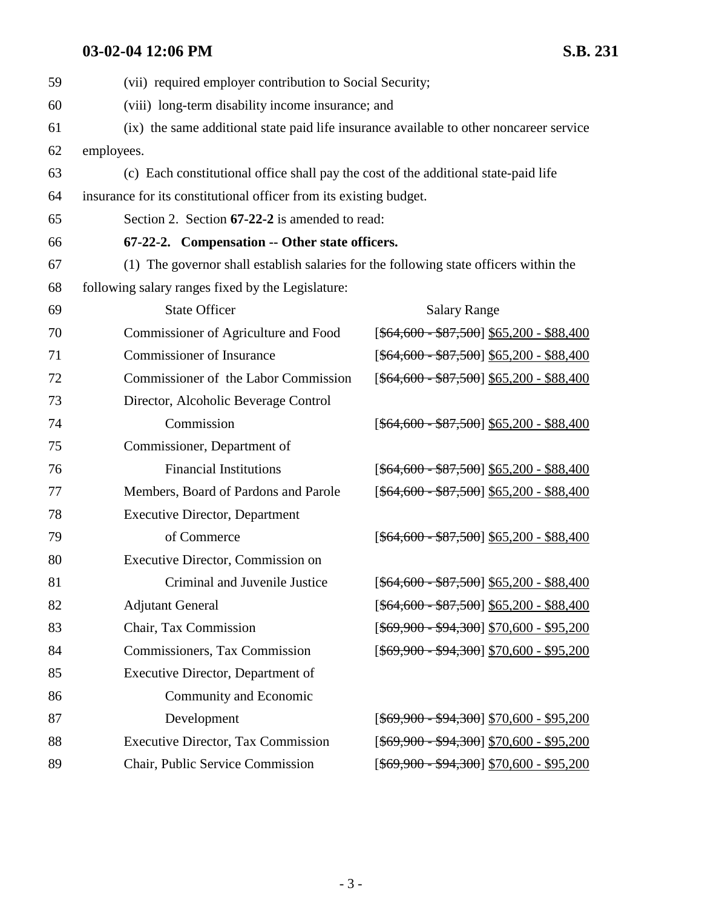# **03-02-04 12:06 PM** S.B. 231

| 59 | (vii) required employer contribution to Social Security;                                |                                             |  |  |
|----|-----------------------------------------------------------------------------------------|---------------------------------------------|--|--|
| 60 | (viii) long-term disability income insurance; and                                       |                                             |  |  |
| 61 | (ix) the same additional state paid life insurance available to other noncareer service |                                             |  |  |
| 62 | employees.                                                                              |                                             |  |  |
| 63 | (c) Each constitutional office shall pay the cost of the additional state-paid life     |                                             |  |  |
| 64 | insurance for its constitutional officer from its existing budget.                      |                                             |  |  |
| 65 | Section 2. Section 67-22-2 is amended to read:                                          |                                             |  |  |
| 66 | 67-22-2. Compensation -- Other state officers.                                          |                                             |  |  |
| 67 | (1) The governor shall establish salaries for the following state officers within the   |                                             |  |  |
| 68 | following salary ranges fixed by the Legislature:                                       |                                             |  |  |
| 69 | <b>State Officer</b>                                                                    | <b>Salary Range</b>                         |  |  |
| 70 | Commissioner of Agriculture and Food                                                    | $[$64,600 - $87,500]$ \$65,200 - \$88,400   |  |  |
| 71 | <b>Commissioner of Insurance</b>                                                        | $[ $64,600 - $87,500] $65,200 - $88,400$    |  |  |
| 72 | Commissioner of the Labor Commission                                                    | $[$ \$64,600 - \$87,500 \$65,200 - \$88,400 |  |  |
| 73 | Director, Alcoholic Beverage Control                                                    |                                             |  |  |
| 74 | Commission                                                                              | $[ $64,600 - $87,500] $65,200 - $88,400$    |  |  |
| 75 | Commissioner, Department of                                                             |                                             |  |  |
| 76 | <b>Financial Institutions</b>                                                           | $[ $64,600 - $87,500] $65,200 - $88,400$    |  |  |
| 77 | Members, Board of Pardons and Parole                                                    | $[ $64,600 - $87,500] $65,200 - $88,400$    |  |  |
| 78 | <b>Executive Director, Department</b>                                                   |                                             |  |  |
| 79 | of Commerce                                                                             | $[ $64,600 - $87,500] $65,200 - $88,400$    |  |  |
| 80 | Executive Director, Commission on                                                       |                                             |  |  |
| 81 | Criminal and Juvenile Justice                                                           | $[ $64,600 - $87,500] $65,200 - $88,400$    |  |  |
| 82 | <b>Adjutant General</b>                                                                 | $[ $64,600 - $87,500] $65,200 - $88,400$    |  |  |
| 83 | Chair, Tax Commission                                                                   | $[ $69,900 - $94,300] $70,600 - $95,200$    |  |  |
| 84 | Commissioners, Tax Commission                                                           | $[ $69,900 - $94,300] $70,600 - $95,200$    |  |  |
| 85 | Executive Director, Department of                                                       |                                             |  |  |
| 86 | Community and Economic                                                                  |                                             |  |  |
| 87 | Development                                                                             | $[ $69,900 - $94,300] $70,600 - $95,200$    |  |  |
| 88 | <b>Executive Director, Tax Commission</b>                                               | $[ $69,900 - $94,300] $70,600 - $95,200$    |  |  |
| 89 | Chair, Public Service Commission                                                        | $[ $69,900 - $94,300] $70,600 - $95,200$    |  |  |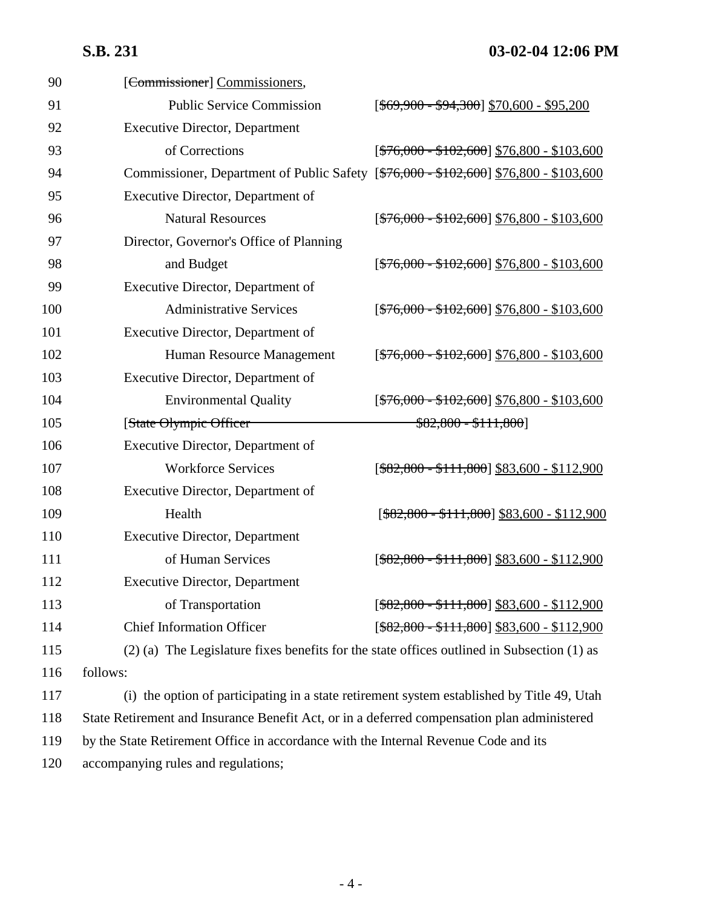## **S.B. 231 03-02-04 12:06 PM**

| 90  | [Commissioner] Commissioners,                                                               |                                                |  |  |
|-----|---------------------------------------------------------------------------------------------|------------------------------------------------|--|--|
| 91  | <b>Public Service Commission</b>                                                            | $[ $69,900 - $94,300] $70,600 - $95,200$       |  |  |
| 92  | <b>Executive Director, Department</b>                                                       |                                                |  |  |
| 93  | of Corrections                                                                              | $[ $76,000 - $102,600] $76,800 - $103,600$     |  |  |
| 94  | Commissioner, Department of Public Safety [\$76,000 - \$102,600] \$76,800 - \$103,600       |                                                |  |  |
| 95  | Executive Director, Department of                                                           |                                                |  |  |
| 96  | <b>Natural Resources</b>                                                                    | $[$76,000 - $102,600]$ \$76,800 - \$103,600    |  |  |
| 97  | Director, Governor's Office of Planning                                                     |                                                |  |  |
| 98  | and Budget                                                                                  | $[ $76,000 - $102,600] $76,800 - $103,600$     |  |  |
| 99  | Executive Director, Department of                                                           |                                                |  |  |
| 100 | <b>Administrative Services</b>                                                              | $[ $76,000 - $102,600] $76,800 - $103,600$     |  |  |
| 101 | Executive Director, Department of                                                           |                                                |  |  |
| 102 | Human Resource Management                                                                   | $[ $76,000 - $102,600] $76,800 - $103,600$     |  |  |
| 103 | Executive Director, Department of                                                           |                                                |  |  |
| 104 | <b>Environmental Quality</b>                                                                | $[ $76,000 - $102,600] $76,800 - $103,600$     |  |  |
| 105 | [State Olympic Officer                                                                      | $$82,800 - $111,800]$                          |  |  |
| 106 | Executive Director, Department of                                                           |                                                |  |  |
| 107 | <b>Workforce Services</b>                                                                   | $[\$82,800 - $111,800]$ \$83,600 - \$112,900   |  |  |
| 108 | Executive Director, Department of                                                           |                                                |  |  |
| 109 | Health                                                                                      | $[\$82,800 - $111,800]$ \$83,600 - \$112,900   |  |  |
| 110 | <b>Executive Director, Department</b>                                                       |                                                |  |  |
| 111 | of Human Services                                                                           | $[ $82,800 - $111,800] $83,600 - $112,900$     |  |  |
| 112 | <b>Executive Director, Department</b>                                                       |                                                |  |  |
| 113 | of Transportation                                                                           | $[$ \$82,800 - \$111,800] \$83,600 - \$112,900 |  |  |
| 114 | <b>Chief Information Officer</b>                                                            | $[$ \$82,800 - \$111,800] \$83,600 - \$112,900 |  |  |
| 115 | (2) (a) The Legislature fixes benefits for the state offices outlined in Subsection (1) as  |                                                |  |  |
| 116 | follows:                                                                                    |                                                |  |  |
| 117 | (i) the option of participating in a state retirement system established by Title 49, Utah  |                                                |  |  |
| 118 | State Retirement and Insurance Benefit Act, or in a deferred compensation plan administered |                                                |  |  |
|     |                                                                                             |                                                |  |  |

119 by the State Retirement Office in accordance with the Internal Revenue Code and its

120 accompanying rules and regulations;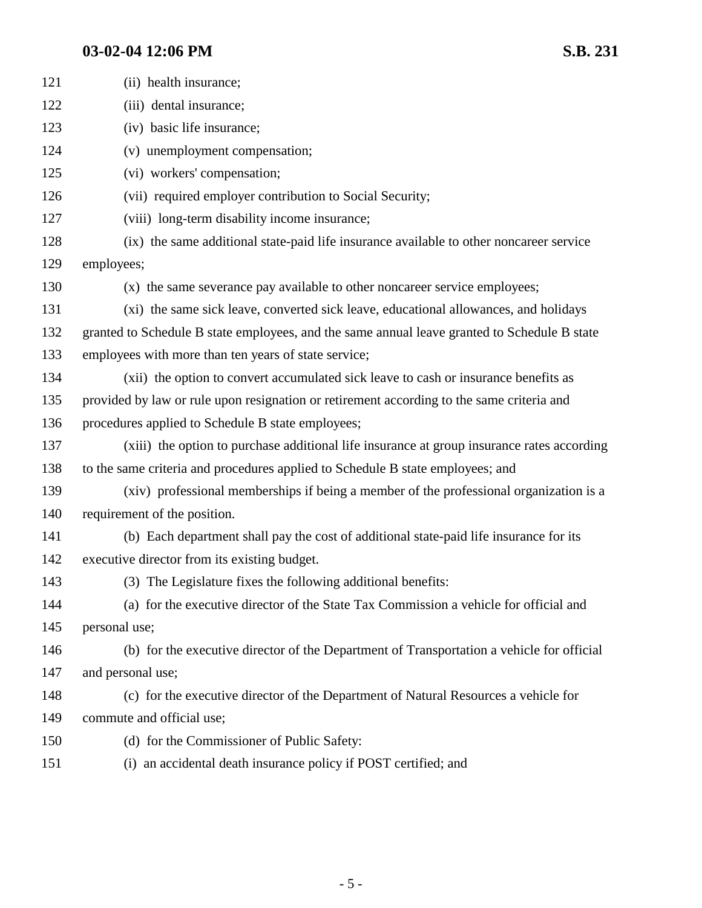# **03-02-04 12:06 PM** S.B. 231

| 121 | (ii) health insurance;                                                                       |
|-----|----------------------------------------------------------------------------------------------|
| 122 | (iii) dental insurance;                                                                      |
| 123 | (iv) basic life insurance;                                                                   |
| 124 | (v) unemployment compensation;                                                               |
| 125 | (vi) workers' compensation;                                                                  |
| 126 | (vii) required employer contribution to Social Security;                                     |
| 127 | (viii) long-term disability income insurance;                                                |
| 128 | (ix) the same additional state-paid life insurance available to other noncareer service      |
| 129 | employees;                                                                                   |
| 130 | (x) the same severance pay available to other noncareer service employees;                   |
| 131 | (xi) the same sick leave, converted sick leave, educational allowances, and holidays         |
| 132 | granted to Schedule B state employees, and the same annual leave granted to Schedule B state |
| 133 | employees with more than ten years of state service;                                         |
| 134 | (xii) the option to convert accumulated sick leave to cash or insurance benefits as          |
| 135 | provided by law or rule upon resignation or retirement according to the same criteria and    |
| 136 | procedures applied to Schedule B state employees;                                            |
| 137 | (xiii) the option to purchase additional life insurance at group insurance rates according   |
| 138 | to the same criteria and procedures applied to Schedule B state employees; and               |
| 139 | (xiv) professional memberships if being a member of the professional organization is a       |
| 140 | requirement of the position.                                                                 |
| 141 | (b) Each department shall pay the cost of additional state-paid life insurance for its       |
| 142 | executive director from its existing budget.                                                 |
| 143 | (3) The Legislature fixes the following additional benefits:                                 |
| 144 | (a) for the executive director of the State Tax Commission a vehicle for official and        |
| 145 | personal use;                                                                                |
| 146 | (b) for the executive director of the Department of Transportation a vehicle for official    |
| 147 | and personal use;                                                                            |
| 148 | (c) for the executive director of the Department of Natural Resources a vehicle for          |
| 149 | commute and official use;                                                                    |
| 150 | (d) for the Commissioner of Public Safety:                                                   |
| 151 | (i) an accidental death insurance policy if POST certified; and                              |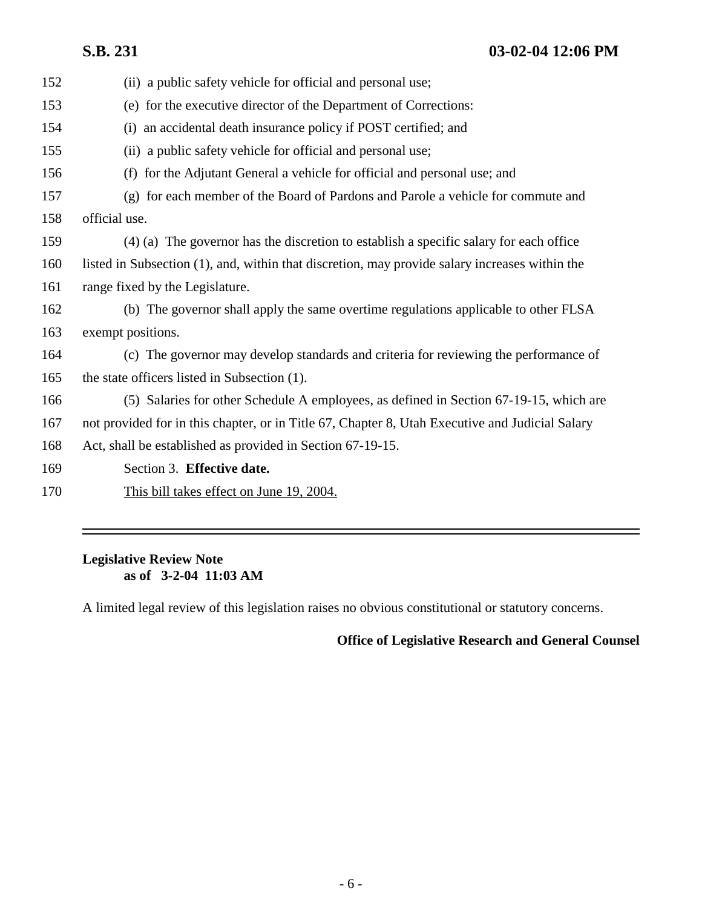**S.B. 231 03-02-04 12:06 PM**

| (ii) a public safety vehicle for official and personal use;                                     |
|-------------------------------------------------------------------------------------------------|
| (e) for the executive director of the Department of Corrections:                                |
| (i) an accidental death insurance policy if POST certified; and                                 |
| (ii) a public safety vehicle for official and personal use;                                     |
| (f) for the Adjutant General a vehicle for official and personal use; and                       |
| (g) for each member of the Board of Pardons and Parole a vehicle for commute and                |
| official use.                                                                                   |
| (4) (a) The governor has the discretion to establish a specific salary for each office          |
| listed in Subsection (1), and, within that discretion, may provide salary increases within the  |
| range fixed by the Legislature.                                                                 |
| (b) The governor shall apply the same overtime regulations applicable to other FLSA             |
| exempt positions.                                                                               |
| (c) The governor may develop standards and criteria for reviewing the performance of            |
| the state officers listed in Subsection (1).                                                    |
| (5) Salaries for other Schedule A employees, as defined in Section 67-19-15, which are          |
| not provided for in this chapter, or in Title 67, Chapter 8, Utah Executive and Judicial Salary |
| Act, shall be established as provided in Section 67-19-15.                                      |
| Section 3. Effective date.                                                                      |
| This bill takes effect on June 19, 2004.                                                        |
|                                                                                                 |

### **Legislative Review Note as of 3-2-04 11:03 AM**

A limited legal review of this legislation raises no obvious constitutional or statutory concerns.

## **Office of Legislative Research and General Counsel**